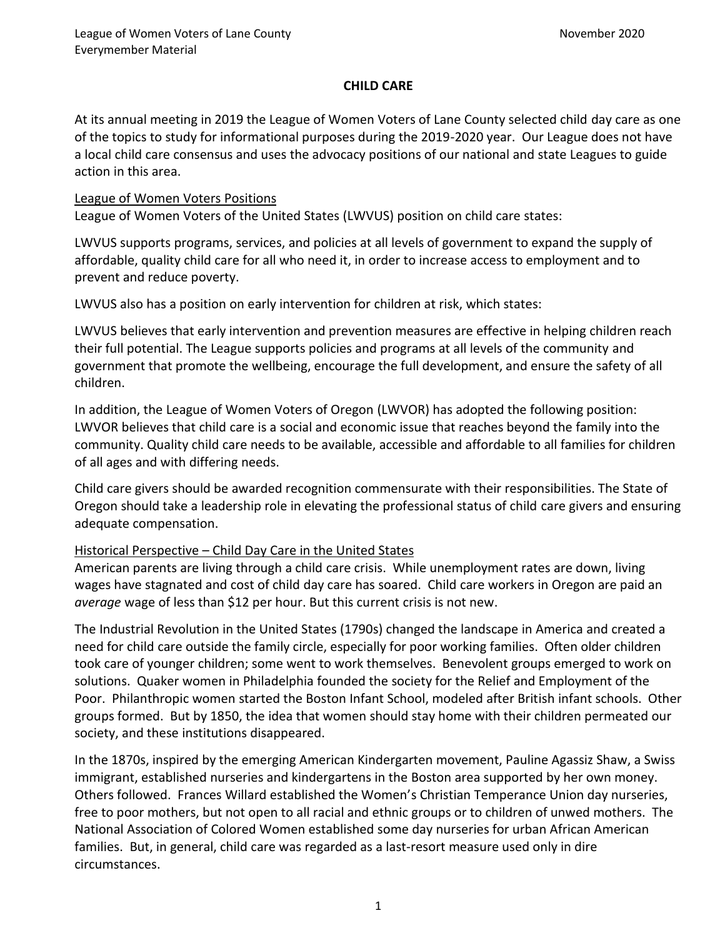# **CHILD CARE**

At its annual meeting in 2019 the League of Women Voters of Lane County selected child day care as one of the topics to study for informational purposes during the 2019-2020 year. Our League does not have a local child care consensus and uses the advocacy positions of our national and state Leagues to guide action in this area.

### League of Women Voters Positions

League of Women Voters of the United States (LWVUS) position on child care states:

LWVUS supports programs, services, and policies at all levels of government to expand the supply of affordable, quality child care for all who need it, in order to increase access to employment and to prevent and reduce poverty.

LWVUS also has a position on early intervention for children at risk, which states:

LWVUS believes that early intervention and prevention measures are effective in helping children reach their full potential. The League supports policies and programs at all levels of the community and government that promote the wellbeing, encourage the full development, and ensure the safety of all children.

In addition, the League of Women Voters of Oregon (LWVOR) has adopted the following position: LWVOR believes that child care is a social and economic issue that reaches beyond the family into the community. Quality child care needs to be available, accessible and affordable to all families for children of all ages and with differing needs.

Child care givers should be awarded recognition commensurate with their responsibilities. The State of Oregon should take a leadership role in elevating the professional status of child care givers and ensuring adequate compensation.

## Historical Perspective – Child Day Care in the United States

American parents are living through a child care crisis. While unemployment rates are down, living wages have stagnated and cost of child day care has soared. Child care workers in Oregon are paid an *average* wage of less than \$12 per hour. But this current crisis is not new.

The Industrial Revolution in the United States (1790s) changed the landscape in America and created a need for child care outside the family circle, especially for poor working families. Often older children took care of younger children; some went to work themselves. Benevolent groups emerged to work on solutions. Quaker women in Philadelphia founded the society for the Relief and Employment of the Poor. Philanthropic women started the Boston Infant School, modeled after British infant schools. Other groups formed. But by 1850, the idea that women should stay home with their children permeated our society, and these institutions disappeared.

In the 1870s, inspired by the emerging American Kindergarten movement, Pauline Agassiz Shaw, a Swiss immigrant, established nurseries and kindergartens in the Boston area supported by her own money. Others followed. Frances Willard established the Women's Christian Temperance Union day nurseries, free to poor mothers, but not open to all racial and ethnic groups or to children of unwed mothers. The National Association of Colored Women established some day nurseries for urban African American families. But, in general, child care was regarded as a last-resort measure used only in dire circumstances.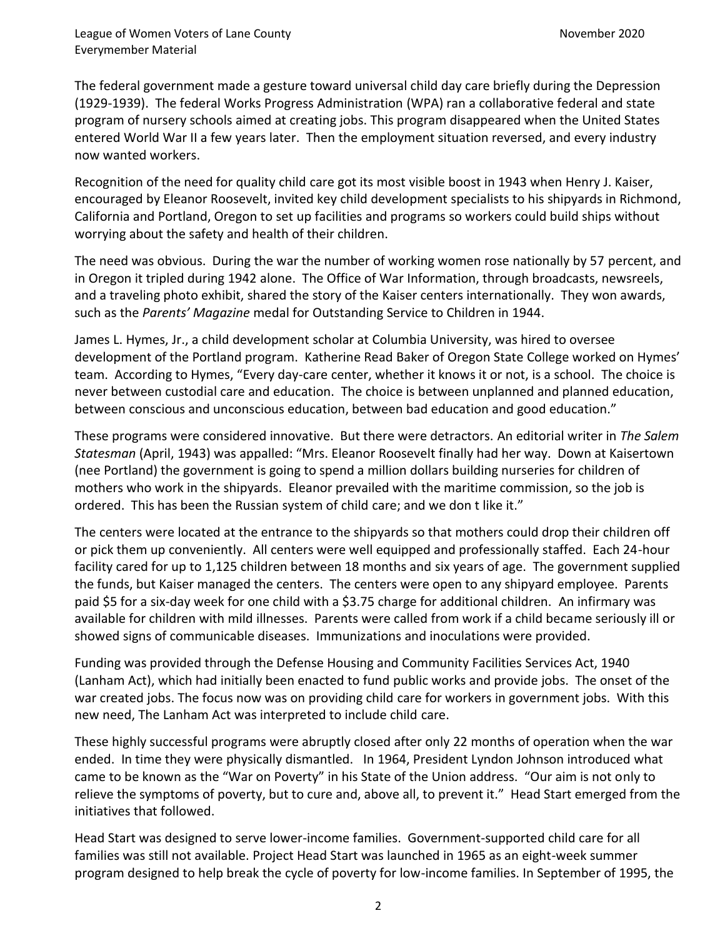The federal government made a gesture toward universal child day care briefly during the Depression (1929-1939). The federal Works Progress Administration (WPA) ran a collaborative federal and state program of nursery schools aimed at creating jobs. This program disappeared when the United States entered World War II a few years later. Then the employment situation reversed, and every industry now wanted workers.

Recognition of the need for quality child care got its most visible boost in 1943 when Henry J. Kaiser, encouraged by Eleanor Roosevelt, invited key child development specialists to his shipyards in Richmond, California and Portland, Oregon to set up facilities and programs so workers could build ships without worrying about the safety and health of their children.

The need was obvious. During the war the number of working women rose nationally by 57 percent, and in Oregon it tripled during 1942 alone. The Office of War Information, through broadcasts, newsreels, and a traveling photo exhibit, shared the story of the Kaiser centers internationally. They won awards, such as the *Parents' Magazine* medal for Outstanding Service to Children in 1944.

James L. Hymes, Jr., a child development scholar at Columbia University, was hired to oversee development of the Portland program. Katherine Read Baker of Oregon State College worked on Hymes' team. According to Hymes, "Every day-care center, whether it knows it or not, is a school. The choice is never between custodial care and education. The choice is between unplanned and planned education, between conscious and unconscious education, between bad education and good education."

These programs were considered innovative. But there were detractors. An editorial writer in *The Salem Statesman* (April, 1943) was appalled: "Mrs. Eleanor Roosevelt finally had her way. Down at Kaisertown (nee Portland) the government is going to spend a million dollars building nurseries for children of mothers who work in the shipyards. Eleanor prevailed with the maritime commission, so the job is ordered. This has been the Russian system of child care; and we don t like it."

The centers were located at the entrance to the shipyards so that mothers could drop their children off or pick them up conveniently. All centers were well equipped and professionally staffed. Each 24-hour facility cared for up to 1,125 children between 18 months and six years of age. The government supplied the funds, but Kaiser managed the centers. The centers were open to any shipyard employee. Parents paid \$5 for a six-day week for one child with a \$3.75 charge for additional children. An infirmary was available for children with mild illnesses. Parents were called from work if a child became seriously ill or showed signs of communicable diseases. Immunizations and inoculations were provided.

Funding was provided through the Defense Housing and Community Facilities Services Act, 1940 (Lanham Act), which had initially been enacted to fund public works and provide jobs. The onset of the war created jobs. The focus now was on providing child care for workers in government jobs. With this new need, The Lanham Act was interpreted to include child care.

These highly successful programs were abruptly closed after only 22 months of operation when the war ended. In time they were physically dismantled. In 1964, President Lyndon Johnson introduced what came to be known as the "War on Poverty" in his State of the Union address. "Our aim is not only to relieve the symptoms of poverty, but to cure and, above all, to prevent it." Head Start emerged from the initiatives that followed.

Head Start was designed to serve lower-income families. Government-supported child care for all families was still not available. Project Head Start was launched in 1965 as an eight-week summer program designed to help break the cycle of poverty for low-income families. In September of 1995, the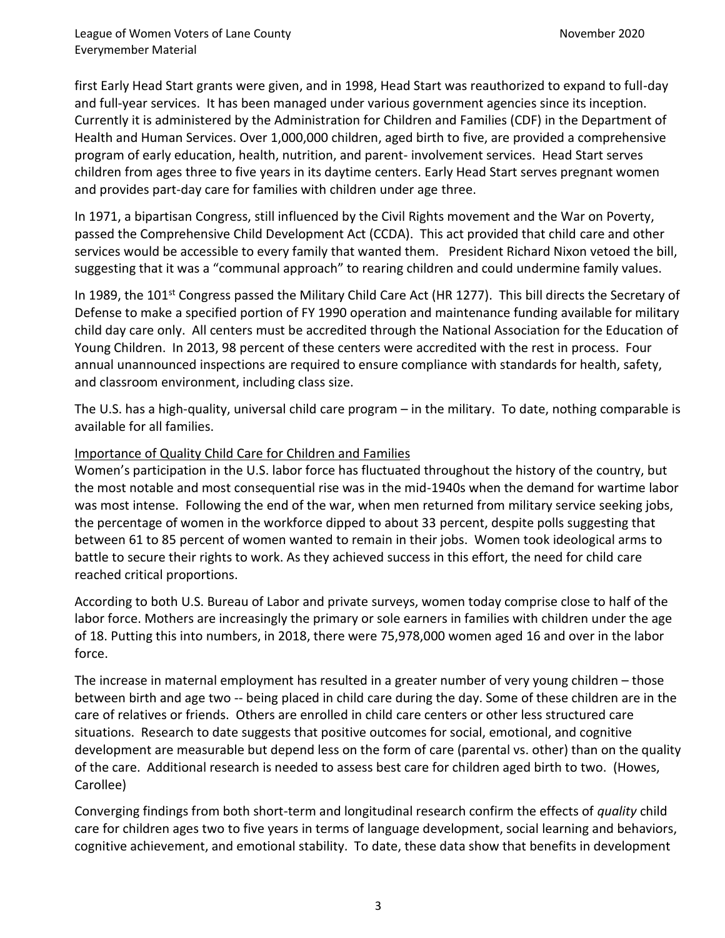first Early Head Start grants were given, and in 1998, Head Start was reauthorized to expand to full-day and full-year services. It has been managed under various government agencies since its inception. Currently it is administered by the Administration for Children and Families (CDF) in the Department of Health and Human Services. Over 1,000,000 children, aged birth to five, are provided a comprehensive program of early education, health, nutrition, and parent- involvement services. Head Start serves children from ages three to five years in its daytime centers. Early Head Start serves pregnant women and provides part-day care for families with children under age three.

In 1971, a bipartisan Congress, still influenced by the Civil Rights movement and the War on Poverty, passed the Comprehensive Child Development Act (CCDA). This act provided that child care and other services would be accessible to every family that wanted them. President Richard Nixon vetoed the bill, suggesting that it was a "communal approach" to rearing children and could undermine family values.

In 1989, the 101<sup>st</sup> Congress passed the Military Child Care Act (HR 1277). This bill directs the Secretary of Defense to make a specified portion of FY 1990 operation and maintenance funding available for military child day care only. All centers must be accredited through the National Association for the Education of Young Children. In 2013, 98 percent of these centers were accredited with the rest in process. Four annual unannounced inspections are required to ensure compliance with standards for health, safety, and classroom environment, including class size.

The U.S. has a high-quality, universal child care program – in the military. To date, nothing comparable is available for all families.

# Importance of Quality Child Care for Children and Families

Women's participation in the U.S. labor force has fluctuated throughout the history of the country, but the most notable and most consequential rise was in the mid-1940s when the demand for wartime labor was most intense. Following the end of the war, when men returned from military service seeking jobs, the percentage of women in the workforce dipped to about 33 percent, despite polls suggesting that between 61 to 85 percent of women wanted to remain in their jobs. Women took ideological arms to battle to secure their rights to work. As they achieved success in this effort, the need for child care reached critical proportions.

According to both U.S. Bureau of Labor and private surveys, women today comprise close to half of the labor force. Mothers are increasingly the primary or sole earners in families with children under the age of 18. Putting this into numbers, in 2018, there were 75,978,000 women aged 16 and over in the labor force.

The increase in maternal employment has resulted in a greater number of very young children – those between birth and age two -- being placed in child care during the day. Some of these children are in the care of relatives or friends. Others are enrolled in child care centers or other less structured care situations. Research to date suggests that positive outcomes for social, emotional, and cognitive development are measurable but depend less on the form of care (parental vs. other) than on the quality of the care. Additional research is needed to assess best care for children aged birth to two. (Howes, Carollee)

Converging findings from both short-term and longitudinal research confirm the effects of *quality* child care for children ages two to five years in terms of language development, social learning and behaviors, cognitive achievement, and emotional stability. To date, these data show that benefits in development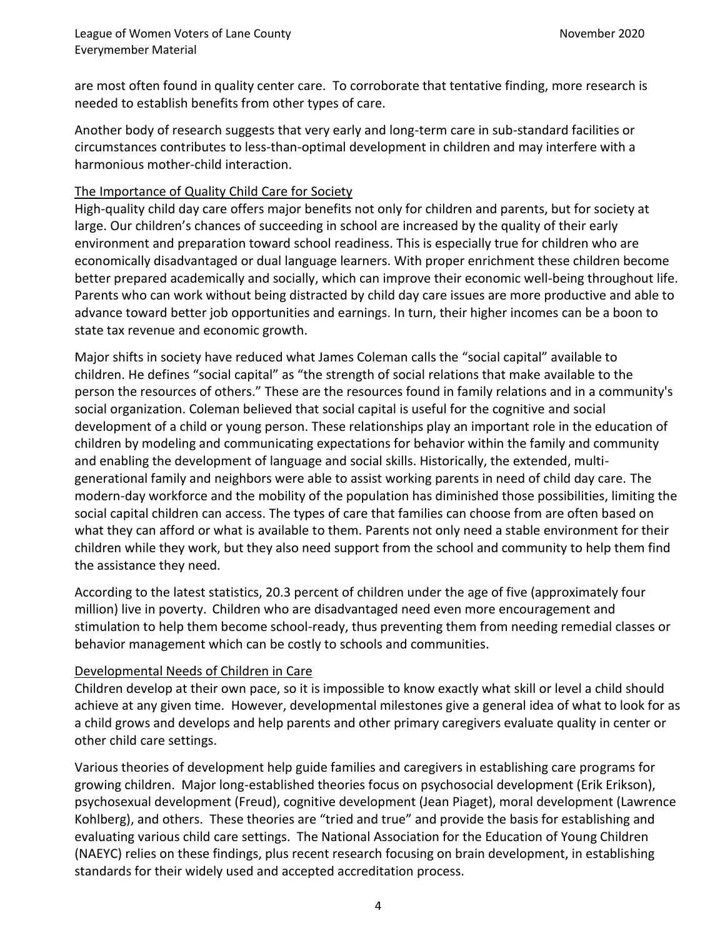are most often found in quality center care. To corroborate that tentative finding, more research is needed to establish benefits from other types of care.

Another body of research suggests that very early and long-term care in sub-standard facilities or circumstances contributes to less-than-optimal development in children and may interfere with a harmonious mother-child interaction.

# The Importance of Quality Child Care for Society

High-quality child day care offers major benefits not only for children and parents, but for society at large. Our children's chances of succeeding in school are increased by the quality of their early environment and preparation toward school readiness. This is especially true for children who are economically disadvantaged or dual language learners. With proper enrichment these children become better prepared academically and socially, which can improve their economic well-being throughout life. Parents who can work without being distracted by child day care issues are more productive and able to advance toward better job opportunities and earnings. In turn, their higher incomes can be a boon to state tax revenue and economic growth.

Major shifts in society have reduced what James Coleman calls the "social capital" available to children. He defines "social capital" as "the strength of social relations that make available to the person the resources of others." These are the resources found in family relations and in a community's social organization. Coleman believed that social capital is useful for the cognitive and social development of a child or young person. These relationships play an important role in the education of children by modeling and communicating expectations for behavior within the family and community and enabling the development of language and social skills. Historically, the extended, multigenerational family and neighbors were able to assist working parents in need of child day care. The modern-day workforce and the mobility of the population has diminished those possibilities, limiting the social capital children can access. The types of care that families can choose from are often based on what they can afford or what is available to them. Parents not only need a stable environment for their children while they work, but they also need support from the school and community to help them find the assistance they need.

According to the latest statistics, 20.3 percent of children under the age of five (approximately four million) live in poverty. Children who are disadvantaged need even more encouragement and stimulation to help them become school-ready, thus preventing them from needing remedial classes or behavior management which can be costly to schools and communities.

## Developmental Needs of Children in Care

Children develop at their own pace, so it is impossible to know exactly what skill or level a child should achieve at any given time. However, developmental milestones give a general idea of what to look for as a child grows and develops and help parents and other primary caregivers evaluate quality in center or other child care settings.

Various theories of development help guide families and caregivers in establishing care programs for growing children. Major long-established theories focus on psychosocial development (Erik Erikson), psychosexual development (Freud), cognitive development (Jean Piaget), moral development (Lawrence Kohlberg), and others. These theories are "tried and true" and provide the basis for establishing and evaluating various child care settings. The National Association for the Education of Young Children (NAEYC) relies on these findings, plus recent research focusing on brain development, in establishing standards for their widely used and accepted accreditation process.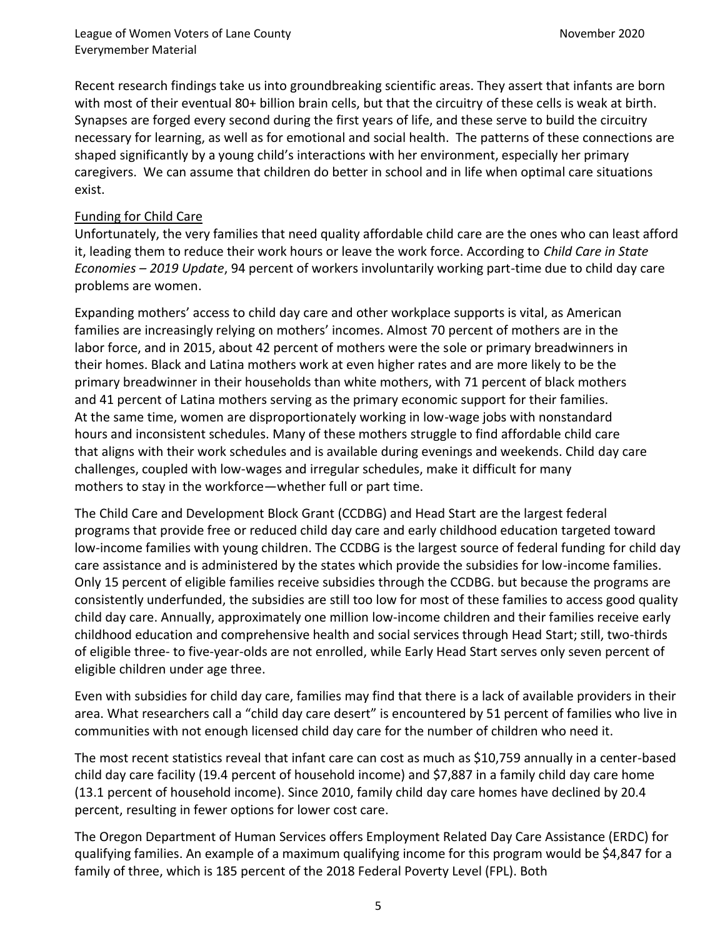Recent research findings take us into groundbreaking scientific areas. They assert that infants are born with most of their eventual 80+ billion brain cells, but that the circuitry of these cells is weak at birth. Synapses are forged every second during the first years of life, and these serve to build the circuitry necessary for learning, as well as for emotional and social health. The patterns of these connections are shaped significantly by a young child's interactions with her environment, especially her primary caregivers. We can assume that children do better in school and in life when optimal care situations exist.

# Funding for Child Care

Unfortunately, the very families that need quality affordable child care are the ones who can least afford it, leading them to reduce their work hours or leave the work force. According to *Child Care in State Economies – 2019 Update*, 94 percent of workers involuntarily working part-time due to child day care problems are women.

Expanding mothers' access to child day care and other workplace supports is vital, as American families are increasingly relying on mothers' incomes. Almost 70 percent of mothers are in the labor force, and in 2015, about 42 percent of mothers were the sole or primary breadwinners in their homes. Black and Latina mothers work at even higher rates and are more likely to be the primary breadwinner in their households than white mothers, with 71 percent of black mothers and 41 percent of Latina mothers serving as the primary economic support for their families. At the same time, women are disproportionately working in low-wage jobs with nonstandard hours and inconsistent schedules. Many of these mothers struggle to find affordable child care that aligns with their work schedules and is available during evenings and weekends. Child day care challenges, coupled with low-wages and irregular schedules, make it difficult for many mothers to stay in the workforce—whether full or part time.

The Child Care and Development Block Grant (CCDBG) and Head Start are the largest federal programs that provide free or reduced child day care and early childhood education targeted toward low-income families with young children. The CCDBG is the largest source of federal funding for child day care assistance and is administered by the states which provide the subsidies for low-income families. Only 15 percent of eligible families receive subsidies through the CCDBG. but because the programs are consistently underfunded, the subsidies are still too low for most of these families to access good quality child day care. Annually, approximately one million low-income children and their families receive early childhood education and comprehensive health and social services through Head Start; still, two-thirds of eligible three- to five-year-olds are not enrolled, while Early Head Start serves only seven percent of eligible children under age three.

Even with subsidies for child day care, families may find that there is a lack of available providers in their area. What researchers call a "child day care desert" is encountered by 51 percent of families who live in communities with not enough licensed child day care for the number of children who need it.

The most recent statistics reveal that infant care can cost as much as \$10,759 annually in a center-based child day care facility (19.4 percent of household income) and \$7,887 in a family child day care home (13.1 percent of household income). Since 2010, family child day care homes have declined by 20.4 percent, resulting in fewer options for lower cost care.

The Oregon Department of Human Services offers Employment Related Day Care Assistance (ERDC) for qualifying families. An example of a maximum qualifying income for this program would be \$4,847 for a family of three, which is 185 percent of the 2018 Federal Poverty Level (FPL). Both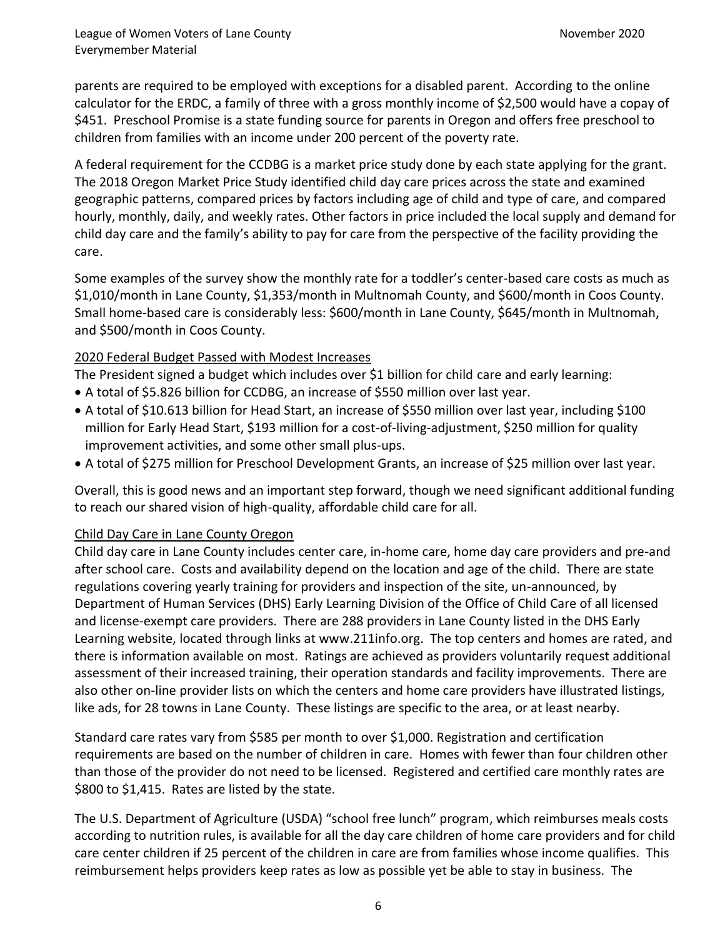parents are required to be employed with exceptions for a disabled parent. According to the online calculator for the ERDC, a family of three with a gross monthly income of \$2,500 would have a copay of \$451. Preschool Promise is a state funding source for parents in Oregon and offers free preschool to children from families with an income under 200 percent of the poverty rate.

A federal requirement for the CCDBG is a market price study done by each state applying for the grant. The 2018 Oregon Market Price Study identified child day care prices across the state and examined geographic patterns, compared prices by factors including age of child and type of care, and compared hourly, monthly, daily, and weekly rates. Other factors in price included the local supply and demand for child day care and the family's ability to pay for care from the perspective of the facility providing the care.

Some examples of the survey show the monthly rate for a toddler's center-based care costs as much as \$1,010/month in Lane County, \$1,353/month in Multnomah County, and \$600/month in Coos County. Small home-based care is considerably less: \$600/month in Lane County, \$645/month in Multnomah, and \$500/month in Coos County.

# 2020 Federal Budget Passed with Modest Increases

The President signed a budget which includes over \$1 billion for child care and early learning:

- A total of \$5.826 billion for CCDBG, an increase of \$550 million over last year.
- A total of \$10.613 billion for Head Start, an increase of \$550 million over last year, including \$100 million for Early Head Start, \$193 million for a cost-of-living-adjustment, \$250 million for quality improvement activities, and some other small plus-ups.
- A total of \$275 million for Preschool Development Grants, an increase of \$25 million over last year.

Overall, this is good news and an important step forward, though we need significant additional funding to reach our shared vision of high-quality, affordable child care for all.

## Child Day Care in Lane County Oregon

Child day care in Lane County includes center care, in-home care, home day care providers and pre-and after school care. Costs and availability depend on the location and age of the child. There are state regulations covering yearly training for providers and inspection of the site, un-announced, by Department of Human Services (DHS) Early Learning Division of the Office of Child Care of all licensed and license-exempt care providers. There are 288 providers in Lane County listed in the DHS Early Learning website, located through links at www.211info.org. The top centers and homes are rated, and there is information available on most. Ratings are achieved as providers voluntarily request additional assessment of their increased training, their operation standards and facility improvements. There are also other on-line provider lists on which the centers and home care providers have illustrated listings, like ads, for 28 towns in Lane County. These listings are specific to the area, or at least nearby.

Standard care rates vary from \$585 per month to over \$1,000. Registration and certification requirements are based on the number of children in care. Homes with fewer than four children other than those of the provider do not need to be licensed. Registered and certified care monthly rates are \$800 to \$1,415. Rates are listed by the state.

The U.S. Department of Agriculture (USDA) "school free lunch" program, which reimburses meals costs according to nutrition rules, is available for all the day care children of home care providers and for child care center children if 25 percent of the children in care are from families whose income qualifies. This reimbursement helps providers keep rates as low as possible yet be able to stay in business. The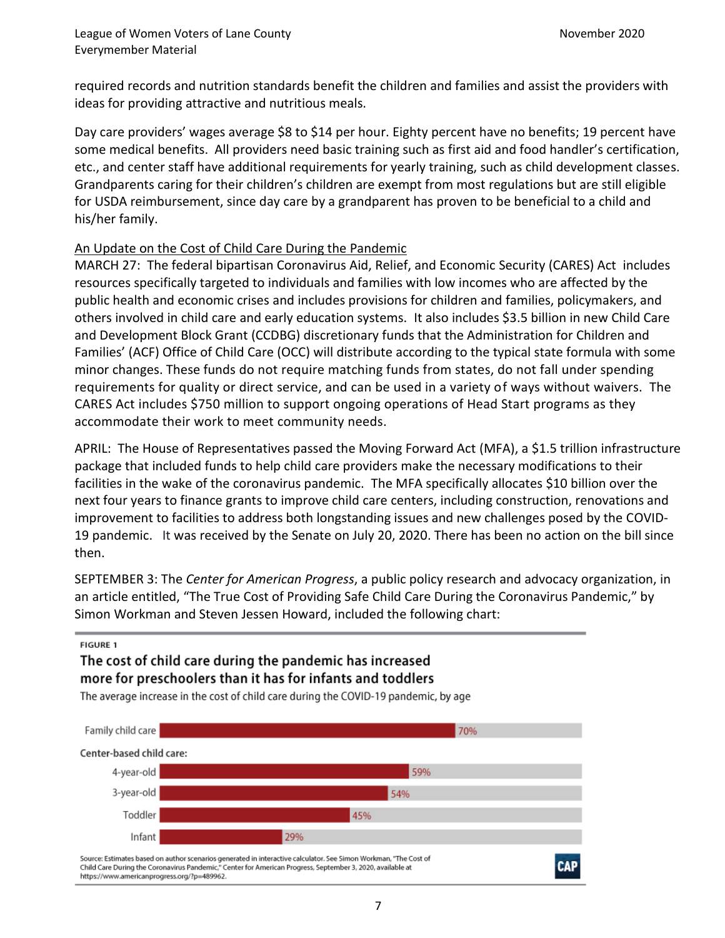required records and nutrition standards benefit the children and families and assist the providers with ideas for providing attractive and nutritious meals.

Day care providers' wages average \$8 to \$14 per hour. Eighty percent have no benefits; 19 percent have some medical benefits. All providers need basic training such as first aid and food handler's certification, etc., and center staff have additional requirements for yearly training, such as child development classes. Grandparents caring for their children's children are exempt from most regulations but are still eligible for USDA reimbursement, since day care by a grandparent has proven to be beneficial to a child and his/her family.

#### An Update on the Cost of Child Care During the Pandemic

MARCH 27: The federal bipartisan Coronavirus Aid, Relief, and Economic Security (CARES) Act includes resources specifically targeted to individuals and families with low incomes who are affected by the public health and economic crises and includes provisions for children and families, policymakers, and others involved in child care and early education systems. It also includes \$3.5 billion in new Child Care and Development Block Grant (CCDBG) discretionary funds that the Administration for Children and Families' (ACF) Office of Child Care (OCC) will distribute according to the typical state formula with some minor changes. These funds do not require matching funds from states, do not fall under spending requirements for quality or direct service, and can be used in a variety of ways without waivers. The CARES Act includes \$750 million to support ongoing operations of Head Start programs as they accommodate their work to meet community needs.

APRIL: The House of Representatives passed the Moving Forward Act (MFA), a \$1.5 trillion infrastructure package that included funds to help child care providers make the necessary modifications to their facilities in the wake of the coronavirus pandemic. The MFA specifically allocates \$10 billion over the next four years to finance grants to improve child care centers, including construction, renovations and improvement to facilities to address both longstanding issues and new challenges posed by the COVID-19 pandemic. It was received by the Senate on July 20, 2020. There has been no action on the bill since then.

SEPTEMBER 3: The *Center for American Progress*, a public policy research and advocacy organization, in an article entitled, "The True Cost of Providing Safe Child Care During the Coronavirus Pandemic," by Simon Workman and Steven Jessen Howard, included the following chart:

# **FIGURE 1** The cost of child care during the pandemic has increased more for preschoolers than it has for infants and toddlers

The average increase in the cost of child care during the COVID-19 pandemic, by age



7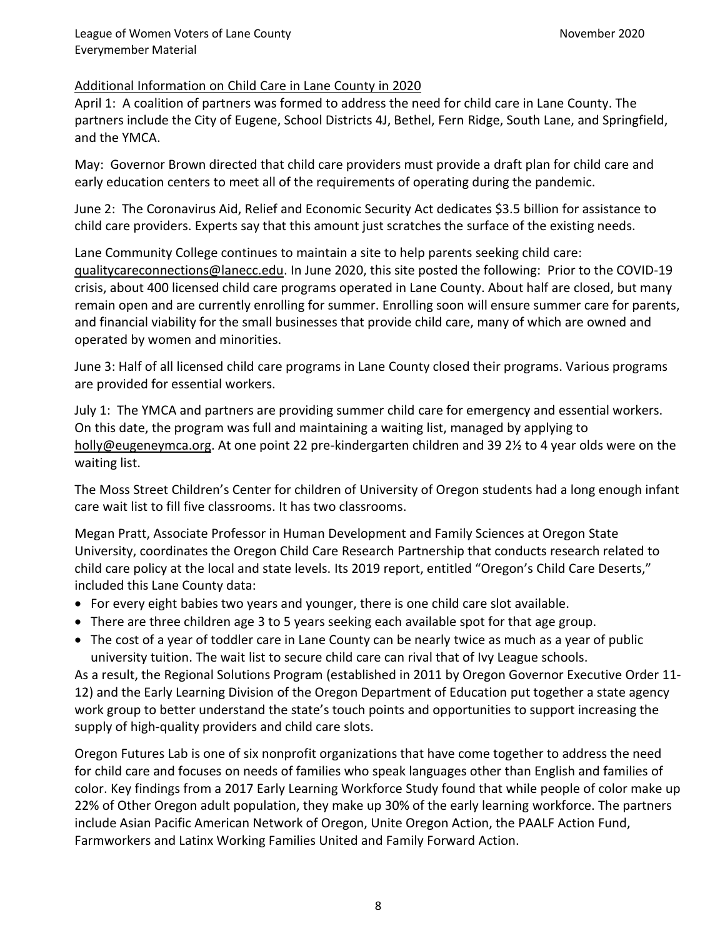## Additional Information on Child Care in Lane County in 2020

April 1: A coalition of partners was formed to address the need for child care in Lane County. The partners include the City of Eugene, School Districts 4J, Bethel, Fern Ridge, South Lane, and Springfield, and the YMCA.

May: Governor Brown directed that child care providers must provide a draft plan for child care and early education centers to meet all of the requirements of operating during the pandemic.

June 2: The Coronavirus Aid, Relief and Economic Security Act dedicates \$3.5 billion for assistance to child care providers. Experts say that this amount just scratches the surface of the existing needs.

Lane Community College continues to maintain a site to help parents seeking child care: [qualitycareconnections@lanecc.edu.](mailto:qualitycareconnections@lanecc.edu) In June 2020, this site posted the following: Prior to the COVID-19 crisis, about 400 licensed child care programs operated in Lane County. About half are closed, but many remain open and are currently enrolling for summer. Enrolling soon will ensure summer care for parents, and financial viability for the small businesses that provide child care, many of which are owned and operated by women and minorities.

June 3: Half of all licensed child care programs in Lane County closed their programs. Various programs are provided for essential workers.

July 1: The YMCA and partners are providing summer child care for emergency and essential workers. On this date, the program was full and maintaining a waiting list, managed by applying to [holly@eugeneymca.org.](mailto:holly@eugeneymca.org) At one point 22 pre-kindergarten children and 39 2½ to 4 year olds were on the waiting list.

The Moss Street Children's Center for children of University of Oregon students had a long enough infant care wait list to fill five classrooms. It has two classrooms.

Megan Pratt, Associate Professor in Human Development and Family Sciences at Oregon State University, coordinates the Oregon Child Care Research Partnership that conducts research related to child care policy at the local and state levels. Its 2019 report, entitled "Oregon's Child Care Deserts," included this Lane County data:

- For every eight babies two years and younger, there is one child care slot available.
- There are three children age 3 to 5 years seeking each available spot for that age group.
- The cost of a year of toddler care in Lane County can be nearly twice as much as a year of public university tuition. The wait list to secure child care can rival that of Ivy League schools.

As a result, the Regional Solutions Program (established in 2011 by Oregon Governor Executive Order 11- 12) and the Early Learning Division of the Oregon Department of Education put together a state agency work group to better understand the state's touch points and opportunities to support increasing the supply of high-quality providers and child care slots.

Oregon Futures Lab is one of six nonprofit organizations that have come together to address the need for child care and focuses on needs of families who speak languages other than English and families of color. Key findings from a 2017 Early Learning Workforce Study found that while people of color make up 22% of Other Oregon adult population, they make up 30% of the early learning workforce. The partners include Asian Pacific American Network of Oregon, Unite Oregon Action, the PAALF Action Fund, Farmworkers and Latinx Working Families United and Family Forward Action.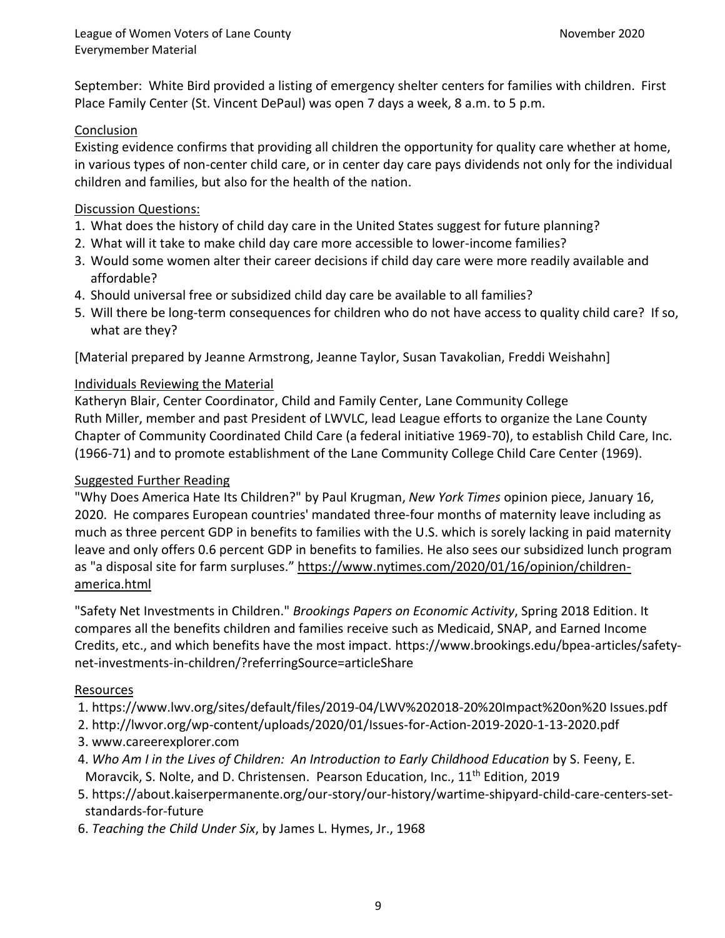September: White Bird provided a listing of emergency shelter centers for families with children. First Place Family Center (St. Vincent DePaul) was open 7 days a week, 8 a.m. to 5 p.m.

# Conclusion

Existing evidence confirms that providing all children the opportunity for quality care whether at home, in various types of non-center child care, or in center day care pays dividends not only for the individual children and families, but also for the health of the nation.

# Discussion Questions:

- 1. What does the history of child day care in the United States suggest for future planning?
- 2. What will it take to make child day care more accessible to lower-income families?
- 3. Would some women alter their career decisions if child day care were more readily available and affordable?
- 4. Should universal free or subsidized child day care be available to all families?
- 5. Will there be long-term consequences for children who do not have access to quality child care? If so, what are they?

[Material prepared by Jeanne Armstrong, Jeanne Taylor, Susan Tavakolian, Freddi Weishahn]

## Individuals Reviewing the Material

Katheryn Blair, Center Coordinator, Child and Family Center, Lane Community College Ruth Miller, member and past President of LWVLC, lead League efforts to organize the Lane County Chapter of Community Coordinated Child Care (a federal initiative 1969-70), to establish Child Care, Inc. (1966-71) and to promote establishment of the Lane Community College Child Care Center (1969).

## Suggested Further Reading

"Why Does America Hate Its Children?" by Paul Krugman, *New York Times* opinion piece, January 16, 2020. He compares European countries' mandated three-four months of maternity leave including as much as three percent GDP in benefits to families with the U.S. which is sorely lacking in paid maternity leave and only offers 0.6 percent GDP in benefits to families. He also sees our subsidized lunch program as "a disposal site for farm surpluses." [https://www.nytimes.com/2020/01/16/opinion/children](https://www.nytimes.com/2020/01/16/opinion/children-america.html)[america.html](https://www.nytimes.com/2020/01/16/opinion/children-america.html)

"Safety Net Investments in Children." *Brookings Papers on Economic Activity*, Spring 2018 Edition. It compares all the benefits children and families receive such as Medicaid, SNAP, and Earned Income Credits, etc., and which benefits have the most impact. [https://www.brookings.edu/bpea-articles/safety](https://www.brookings.edu/bpea-articles/safety-net-investments-in-children/?referringSource=articleShare)[net-investments-in-children/?referringSource=articleShare](https://www.brookings.edu/bpea-articles/safety-net-investments-in-children/?referringSource=articleShare)

## Resources

- 1. [https://www.lwv.org/sites/default/files/2019-04/LWV%202018-20%20Impact%20on%](https://www.lwv.org/sites/default/files/2019-04/LWV%202018-20%20Impact%20on)20 Issues.pdf
- 2. http://lwvor.org/wp-content/uploads/2020/01/Issues-for-Action-2019-2020-1-13-2020.pdf
- 3. [www.careerexplorer.com](http://www.careerexplorer.com/)
- 4. *Who Am I in the Lives of Children: An Introduction to Early Childhood Education* by S. Feeny, E. Moravcik, S. Nolte, and D. Christensen. Pearson Education, Inc., 11<sup>th</sup> Edition, 2019
- 5. https://about.kaiserpermanente.org/our-story/our-history/wartime-shipyard-child-care-centers-setstandards-for-future
- 6. *Teaching the Child Under Six*, by James L. Hymes, Jr., 1968